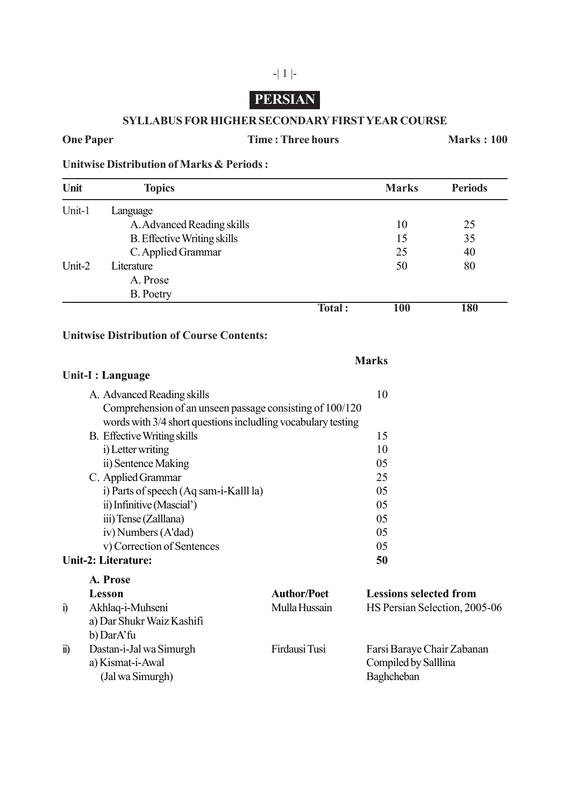# **PERSIAN**

#### **SYLLABUS FOR HIGHER SECONDARY FIRST YEAR COURSE**

### **One Paper Time : Three hours Marks : 100**

**Unitwise Distribution of Marks & Periods :**

| Unit   | <b>Topics</b>                      |        | <b>Marks</b> | <b>Periods</b> |
|--------|------------------------------------|--------|--------------|----------------|
| Unit-1 | Language                           |        |              |                |
|        | A. Advanced Reading skills         |        | 10           | 25             |
|        | <b>B.</b> Effective Writing skills |        | 15           | 35             |
|        | C. Applied Grammar                 |        | 25           | 40             |
| Unit-2 | Literature                         |        | 50           | 80             |
|        | A. Prose                           |        |              |                |
|        | <b>B.</b> Poetry                   |        |              |                |
|        |                                    | Total: | 100          | 180            |

**Marks**

#### **Unitwise Distribution of Course Contents:**

|                            | Unit-I : Language                                                                                                                                      |                                     |                                                                  |
|----------------------------|--------------------------------------------------------------------------------------------------------------------------------------------------------|-------------------------------------|------------------------------------------------------------------|
|                            | A. Advanced Reading skills<br>Comprehension of an unseen passage consisting of 100/120<br>words with 3/4 short questions includling vocabulary testing |                                     | 10                                                               |
|                            | <b>B.</b> Effective Writing skills<br>i) Letter writing                                                                                                |                                     | 15<br>10                                                         |
|                            | ii) Sentence Making<br>C. Applied Grammar                                                                                                              |                                     | 05<br>25                                                         |
|                            | i) Parts of speech (Aq sam-i-Kalll la)<br>ii) Infinitive (Mascial')<br>iii) Tense (Zalllana)                                                           |                                     | 05<br>05<br>05                                                   |
|                            | iv) Numbers (A'dad)<br>v) Correction of Sentences                                                                                                      |                                     | 05<br>05                                                         |
| <b>Unit-2: Literature:</b> |                                                                                                                                                        |                                     | 50                                                               |
| $\mathbf{i}$               | A. Prose<br>Lesson<br>Akhlaq-i-Muhseni<br>a) Dar Shukr Waiz Kashifi<br>b) DarA'fu                                                                      | <b>Author/Poet</b><br>Mulla Hussain | <b>Lessions selected from</b><br>HS Persian Selection, 2005-06   |
| $\mathbf{n}$               | Dastan-i-Jal wa Simurgh<br>a) Kismat-i-Awal<br>(Jal wa Simurgh)                                                                                        | Firdausi Tusi                       | Farsi Baraye Chair Zabanan<br>Compiled by Salllina<br>Baghcheban |

## -| 1 |-